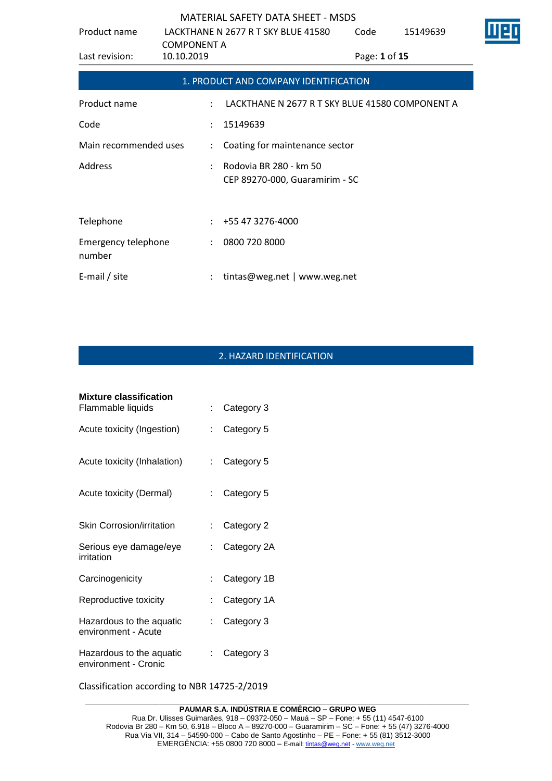| Product name                         | <b>COMPONENT A</b>   | LACKTHANE N 2677 R T SKY BLUE 41580                      | Code          | 15149639 |  |
|--------------------------------------|----------------------|----------------------------------------------------------|---------------|----------|--|
| Last revision:                       | 10.10.2019           |                                                          | Page: 1 of 15 |          |  |
|                                      |                      | 1. PRODUCT AND COMPANY IDENTIFICATION                    |               |          |  |
| Product name                         |                      | LACKTHANE N 2677 R T SKY BLUE 41580 COMPONENT A          |               |          |  |
| Code                                 |                      | 15149639                                                 |               |          |  |
| Main recommended uses                | $\ddot{\cdot}$       | Coating for maintenance sector                           |               |          |  |
| <b>Address</b>                       |                      | Rodovia BR 280 - km 50<br>CEP 89270-000, Guaramirim - SC |               |          |  |
| Telephone                            |                      | +55 47 3276-4000                                         |               |          |  |
| <b>Emergency telephone</b><br>number | $\ddot{\phantom{a}}$ | 0800 720 8000                                            |               |          |  |
| E-mail / site                        |                      | tintas@weg.net   www.weg.net                             |               |          |  |

# 2. HAZARD IDENTIFICATION

| <b>Mixture classification</b>                    |     |             |
|--------------------------------------------------|-----|-------------|
| Flammable liquids                                |     | Category 3  |
| Acute toxicity (Ingestion)                       |     | Category 5  |
| Acute toxicity (Inhalation)                      |     | Category 5  |
| Acute toxicity (Dermal)                          | t.  | Category 5  |
| <b>Skin Corrosion/irritation</b>                 |     | Category 2  |
| Serious eye damage/eye<br>irritation             |     | Category 2A |
| Carcinogenicity                                  |     | Category 1B |
| Reproductive toxicity                            |     | Category 1A |
| Hazardous to the aquatic<br>environment - Acute  | t - | Category 3  |
| Hazardous to the aquatic<br>environment - Cronic |     | Category 3  |

Classification according to NBR 14725-2/2019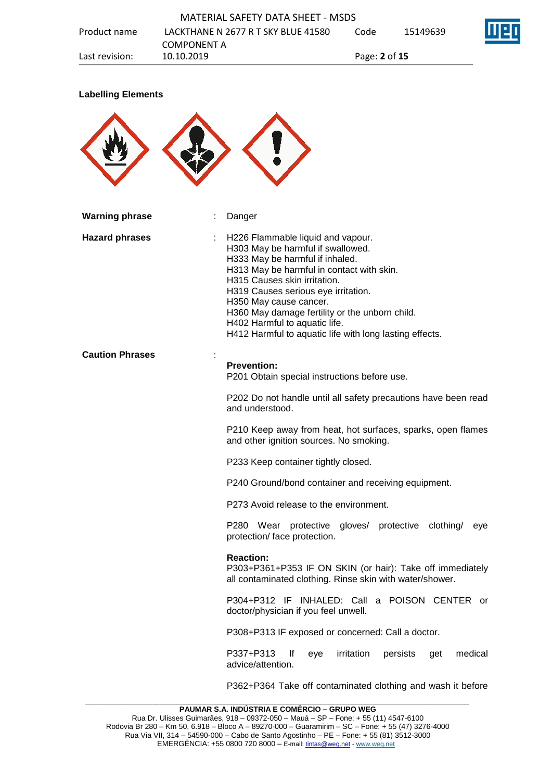

#### **Labelling Elements**



| <b>Warning phrase</b>  | Danger                                                                                                                                                                                                                                                                                                                                                                                                |  |  |
|------------------------|-------------------------------------------------------------------------------------------------------------------------------------------------------------------------------------------------------------------------------------------------------------------------------------------------------------------------------------------------------------------------------------------------------|--|--|
| <b>Hazard phrases</b>  | H226 Flammable liquid and vapour.<br>H303 May be harmful if swallowed.<br>H333 May be harmful if inhaled.<br>H313 May be harmful in contact with skin.<br>H315 Causes skin irritation.<br>H319 Causes serious eye irritation.<br>H350 May cause cancer.<br>H360 May damage fertility or the unborn child.<br>H402 Harmful to aquatic life.<br>H412 Harmful to aquatic life with long lasting effects. |  |  |
| <b>Caution Phrases</b> | <b>Prevention:</b><br>P201 Obtain special instructions before use.                                                                                                                                                                                                                                                                                                                                    |  |  |
|                        | P202 Do not handle until all safety precautions have been read<br>and understood.                                                                                                                                                                                                                                                                                                                     |  |  |
|                        | P210 Keep away from heat, hot surfaces, sparks, open flames<br>and other ignition sources. No smoking.                                                                                                                                                                                                                                                                                                |  |  |
|                        | P233 Keep container tightly closed.                                                                                                                                                                                                                                                                                                                                                                   |  |  |
|                        | P240 Ground/bond container and receiving equipment.                                                                                                                                                                                                                                                                                                                                                   |  |  |
|                        | P273 Avoid release to the environment.                                                                                                                                                                                                                                                                                                                                                                |  |  |
|                        | P280 Wear protective gloves/ protective clothing/<br>eye<br>protection/ face protection.                                                                                                                                                                                                                                                                                                              |  |  |
|                        | <b>Reaction:</b><br>P303+P361+P353 IF ON SKIN (or hair): Take off immediately<br>all contaminated clothing. Rinse skin with water/shower.                                                                                                                                                                                                                                                             |  |  |
|                        | P304+P312 IF INHALED: Call a POISON CENTER<br>or<br>doctor/physician if you feel unwell.                                                                                                                                                                                                                                                                                                              |  |  |
|                        | P308+P313 IF exposed or concerned: Call a doctor.                                                                                                                                                                                                                                                                                                                                                     |  |  |
|                        | P337+P313<br>irritation<br>lf<br>persists<br>medical<br>eye<br>get<br>advice/attention.                                                                                                                                                                                                                                                                                                               |  |  |
|                        | P362+P364 Take off contaminated clothing and wash it before                                                                                                                                                                                                                                                                                                                                           |  |  |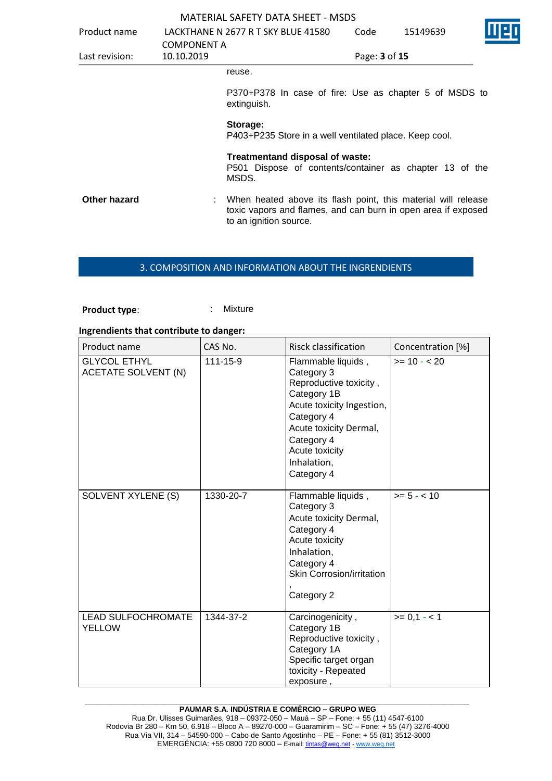| <b>MATERIAL SAFETY DATA SHEET - MSDS</b> |  |
|------------------------------------------|--|
|------------------------------------------|--|

| Product name   | <b>COMPONENT A</b> | LACKTHANE N 2677 R T SKY BLUE 41580                                                                                                                        | Code          | 15149639 |  |
|----------------|--------------------|------------------------------------------------------------------------------------------------------------------------------------------------------------|---------------|----------|--|
| Last revision: | 10.10.2019         |                                                                                                                                                            | Page: 3 of 15 |          |  |
|                |                    | reuse.                                                                                                                                                     |               |          |  |
|                |                    | P370+P378 In case of fire: Use as chapter 5 of MSDS to<br>extinguish.                                                                                      |               |          |  |
|                |                    | Storage:<br>P403+P235 Store in a well ventilated place. Keep cool.                                                                                         |               |          |  |
|                |                    | Treatmentand disposal of waste:<br>P501 Dispose of contents/container as chapter 13 of the<br>MSDS.                                                        |               |          |  |
| Other hazard   |                    | : When heated above its flash point, this material will release<br>toxic vapors and flames, and can burn in open area if exposed<br>to an ignition source. |               |          |  |

## 3. COMPOSITION AND INFORMATION ABOUT THE INGRENDIENTS

## **Product type:** : Mixture

#### **Ingrendients that contribute to danger:**

| Product name                                      | CAS No.   | <b>Risck classification</b>                                                                                                                                                                                 | Concentration [%] |
|---------------------------------------------------|-----------|-------------------------------------------------------------------------------------------------------------------------------------------------------------------------------------------------------------|-------------------|
| <b>GLYCOL ETHYL</b><br><b>ACETATE SOLVENT (N)</b> | 111-15-9  | Flammable liquids,<br>Category 3<br>Reproductive toxicity,<br>Category 1B<br>Acute toxicity Ingestion,<br>Category 4<br>Acute toxicity Dermal,<br>Category 4<br>Acute toxicity<br>Inhalation,<br>Category 4 | $>= 10 - 20$      |
| SOLVENT XYLENE (S)                                | 1330-20-7 | Flammable liquids,<br>Category 3<br>Acute toxicity Dermal,<br>Category 4<br>Acute toxicity<br>Inhalation,<br>Category 4<br>Skin Corrosion/irritation<br>Category 2                                          | $>= 5 - < 10$     |
| <b>LEAD SULFOCHROMATE</b><br><b>YELLOW</b>        | 1344-37-2 | Carcinogenicity,<br>Category 1B<br>Reproductive toxicity,<br>Category 1A<br>Specific target organ<br>toxicity - Repeated<br>exposure,                                                                       | $>= 0,1 - 1$      |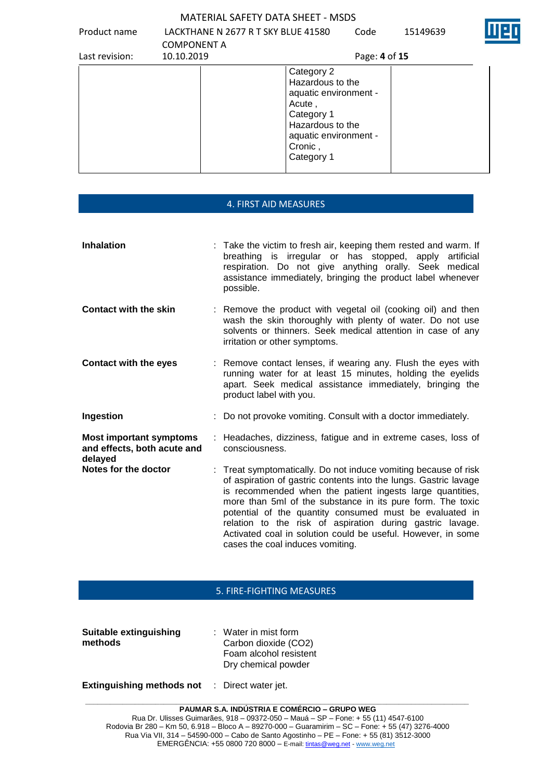Product name LACKTHANE N 2677 R T SKY BLUE 41580 Code 15149639



| Last revision: | <b>COMPONENT A</b><br>10.10.2019 | Page: 4 of 15                                                                                                                                         |
|----------------|----------------------------------|-------------------------------------------------------------------------------------------------------------------------------------------------------|
|                |                                  | Category 2<br>Hazardous to the<br>aquatic environment -<br>Acute,<br>Category 1<br>Hazardous to the<br>aquatic environment -<br>Cronic,<br>Category 1 |

| 4. FIRST AID MEASURES                                                    |  |                                                                                                                                                                                                                                                                                                                                                                                                                                                                                          |  |  |  |
|--------------------------------------------------------------------------|--|------------------------------------------------------------------------------------------------------------------------------------------------------------------------------------------------------------------------------------------------------------------------------------------------------------------------------------------------------------------------------------------------------------------------------------------------------------------------------------------|--|--|--|
|                                                                          |  |                                                                                                                                                                                                                                                                                                                                                                                                                                                                                          |  |  |  |
| <b>Inhalation</b>                                                        |  | Take the victim to fresh air, keeping them rested and warm. If<br>breathing is irregular or has stopped, apply artificial<br>respiration. Do not give anything orally. Seek medical<br>assistance immediately, bringing the product label whenever<br>possible.                                                                                                                                                                                                                          |  |  |  |
| <b>Contact with the skin</b>                                             |  | Remove the product with vegetal oil (cooking oil) and then<br>wash the skin thoroughly with plenty of water. Do not use<br>solvents or thinners. Seek medical attention in case of any<br>irritation or other symptoms.                                                                                                                                                                                                                                                                  |  |  |  |
| <b>Contact with the eyes</b>                                             |  | : Remove contact lenses, if wearing any. Flush the eyes with<br>running water for at least 15 minutes, holding the eyelids<br>apart. Seek medical assistance immediately, bringing the<br>product label with you.                                                                                                                                                                                                                                                                        |  |  |  |
| Ingestion                                                                |  | : Do not provoke vomiting. Consult with a doctor immediately.                                                                                                                                                                                                                                                                                                                                                                                                                            |  |  |  |
| <b>Most important symptoms</b><br>and effects, both acute and<br>delayed |  | Headaches, dizziness, fatigue and in extreme cases, loss of<br>consciousness.                                                                                                                                                                                                                                                                                                                                                                                                            |  |  |  |
| Notes for the doctor                                                     |  | Treat symptomatically. Do not induce vomiting because of risk<br>of aspiration of gastric contents into the lungs. Gastric lavage<br>is recommended when the patient ingests large quantities,<br>more than 5ml of the substance in its pure form. The toxic<br>potential of the quantity consumed must be evaluated in<br>relation to the risk of aspiration during gastric lavage.<br>Activated coal in solution could be useful. However, in some<br>cases the coal induces vomiting. |  |  |  |

### 5. FIRE-FIGHTING MEASURES

| <b>Suitable extinguishing</b> | $\therefore$ Water in mist form |
|-------------------------------|---------------------------------|
| methods                       | Carbon dioxide (CO2)            |
|                               | Foam alcohol resistent          |
|                               | Dry chemical powder             |
|                               |                                 |

**Extinguishing methods not** : Direct water jet.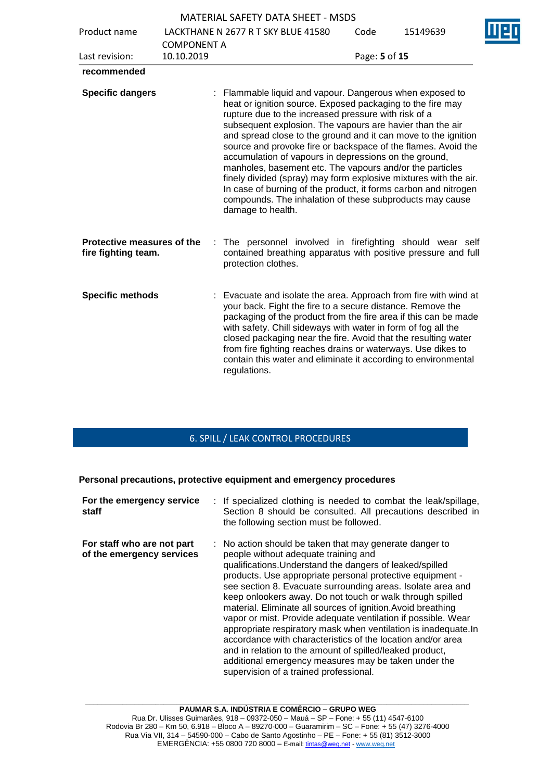|                                                   |                    | <b>MATERIAL SAFETY DATA SHEET - MSDS</b>                                                                                                                                                                                                                                                                                                                                                                                                                                                                                                                                                                                                                                                                                    |               |          |  |
|---------------------------------------------------|--------------------|-----------------------------------------------------------------------------------------------------------------------------------------------------------------------------------------------------------------------------------------------------------------------------------------------------------------------------------------------------------------------------------------------------------------------------------------------------------------------------------------------------------------------------------------------------------------------------------------------------------------------------------------------------------------------------------------------------------------------------|---------------|----------|--|
| Product name                                      |                    | LACKTHANE N 2677 R T SKY BLUE 41580                                                                                                                                                                                                                                                                                                                                                                                                                                                                                                                                                                                                                                                                                         | Code          | 15149639 |  |
|                                                   | <b>COMPONENT A</b> |                                                                                                                                                                                                                                                                                                                                                                                                                                                                                                                                                                                                                                                                                                                             |               |          |  |
| Last revision:                                    | 10.10.2019         |                                                                                                                                                                                                                                                                                                                                                                                                                                                                                                                                                                                                                                                                                                                             | Page: 5 of 15 |          |  |
| recommended                                       |                    |                                                                                                                                                                                                                                                                                                                                                                                                                                                                                                                                                                                                                                                                                                                             |               |          |  |
| <b>Specific dangers</b>                           |                    | : Flammable liquid and vapour. Dangerous when exposed to<br>heat or ignition source. Exposed packaging to the fire may<br>rupture due to the increased pressure with risk of a<br>subsequent explosion. The vapours are havier than the air<br>and spread close to the ground and it can move to the ignition<br>source and provoke fire or backspace of the flames. Avoid the<br>accumulation of vapours in depressions on the ground,<br>manholes, basement etc. The vapours and/or the particles<br>finely divided (spray) may form explosive mixtures with the air.<br>In case of burning of the product, it forms carbon and nitrogen<br>compounds. The inhalation of these subproducts may cause<br>damage to health. |               |          |  |
| Protective measures of the<br>fire fighting team. | t.                 | The personnel involved in firefighting should wear self<br>contained breathing apparatus with positive pressure and full<br>protection clothes.                                                                                                                                                                                                                                                                                                                                                                                                                                                                                                                                                                             |               |          |  |
| <b>Specific methods</b>                           |                    | Evacuate and isolate the area. Approach from fire with wind at<br>your back. Fight the fire to a secure distance. Remove the<br>packaging of the product from the fire area if this can be made<br>with safety. Chill sideways with water in form of fog all the<br>closed packaging near the fire. Avoid that the resulting water<br>from fire fighting reaches drains or waterways. Use dikes to<br>contain this water and eliminate it according to environmental<br>regulations.                                                                                                                                                                                                                                        |               |          |  |

## 6. SPILL / LEAK CONTROL PROCEDURES

**Personal precautions, protective equipment and emergency procedures**

| For the emergency service<br>staff                      | : If specialized clothing is needed to combat the leak/spillage,<br>Section 8 should be consulted. All precautions described in<br>the following section must be followed.                                                                                                                                                                                                                                                                                                                                                                                                                                                                                                                                                                                                            |
|---------------------------------------------------------|---------------------------------------------------------------------------------------------------------------------------------------------------------------------------------------------------------------------------------------------------------------------------------------------------------------------------------------------------------------------------------------------------------------------------------------------------------------------------------------------------------------------------------------------------------------------------------------------------------------------------------------------------------------------------------------------------------------------------------------------------------------------------------------|
| For staff who are not part<br>of the emergency services | : No action should be taken that may generate danger to<br>people without adequate training and<br>qualifications. Understand the dangers of leaked/spilled<br>products. Use appropriate personal protective equipment -<br>see section 8. Evacuate surrounding areas. Isolate area and<br>keep onlookers away. Do not touch or walk through spilled<br>material. Eliminate all sources of ignition. Avoid breathing<br>vapor or mist. Provide adequate ventilation if possible. Wear<br>appropriate respiratory mask when ventilation is inadequate. In<br>accordance with characteristics of the location and/or area<br>and in relation to the amount of spilled/leaked product,<br>additional emergency measures may be taken under the<br>supervision of a trained professional. |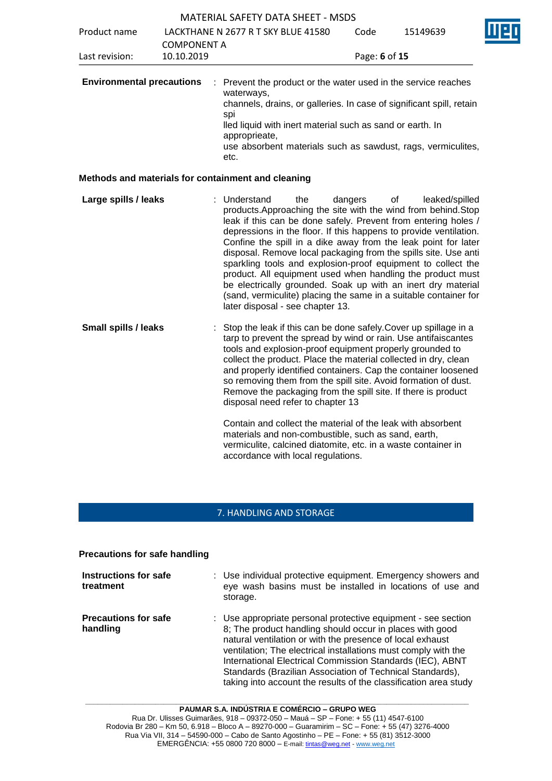|                                  |                    | <b>MATERIAL SAFETY DATA SHEET - MSDS</b>                                                                                                                                                                                                                                                                                                                                                                                                                                                                                                                                                                                                                                                                                                 |               |                      |  |
|----------------------------------|--------------------|------------------------------------------------------------------------------------------------------------------------------------------------------------------------------------------------------------------------------------------------------------------------------------------------------------------------------------------------------------------------------------------------------------------------------------------------------------------------------------------------------------------------------------------------------------------------------------------------------------------------------------------------------------------------------------------------------------------------------------------|---------------|----------------------|--|
| Product name                     | <b>COMPONENT A</b> | LACKTHANE N 2677 R T SKY BLUE 41580                                                                                                                                                                                                                                                                                                                                                                                                                                                                                                                                                                                                                                                                                                      | Code          | 15149639             |  |
| Last revision:                   | 10.10.2019         |                                                                                                                                                                                                                                                                                                                                                                                                                                                                                                                                                                                                                                                                                                                                          | Page: 6 of 15 |                      |  |
| <b>Environmental precautions</b> |                    | Prevent the product or the water used in the service reaches<br>waterways,<br>channels, drains, or galleries. In case of significant spill, retain<br>spi<br>lled liquid with inert material such as sand or earth. In<br>approprieate,<br>use absorbent materials such as sawdust, rags, vermiculites,<br>etc.                                                                                                                                                                                                                                                                                                                                                                                                                          |               |                      |  |
|                                  |                    | Methods and materials for containment and cleaning                                                                                                                                                                                                                                                                                                                                                                                                                                                                                                                                                                                                                                                                                       |               |                      |  |
| Large spills / leaks             |                    | : Understand<br>the<br>products. Approaching the site with the wind from behind. Stop<br>leak if this can be done safely. Prevent from entering holes /<br>depressions in the floor. If this happens to provide ventilation.<br>Confine the spill in a dike away from the leak point for later<br>disposal. Remove local packaging from the spills site. Use anti<br>sparkling tools and explosion-proof equipment to collect the<br>product. All equipment used when handling the product must<br>be electrically grounded. Soak up with an inert dry material<br>(sand, vermiculite) placing the same in a suitable container for<br>later disposal - see chapter 13.                                                                  | dangers       | leaked/spilled<br>οf |  |
| <b>Small spills / leaks</b>      |                    | Stop the leak if this can be done safely. Cover up spillage in a<br>tarp to prevent the spread by wind or rain. Use antifaiscantes<br>tools and explosion-proof equipment properly grounded to<br>collect the product. Place the material collected in dry, clean<br>and properly identified containers. Cap the container loosened<br>so removing them from the spill site. Avoid formation of dust.<br>Remove the packaging from the spill site. If there is product<br>disposal need refer to chapter 13<br>Contain and collect the material of the leak with absorbent<br>materials and non-combustible, such as sand, earth,<br>vermiculite, calcined diatomite, etc. in a waste container in<br>accordance with local regulations. |               |                      |  |

## 7. HANDLING AND STORAGE

**Precautions for safe handling**

| Instructions for safe<br>treatment      | : Use individual protective equipment. Emergency showers and<br>eye wash basins must be installed in locations of use and<br>storage.                                                                                                                                                                                                                                                                                                                  |
|-----------------------------------------|--------------------------------------------------------------------------------------------------------------------------------------------------------------------------------------------------------------------------------------------------------------------------------------------------------------------------------------------------------------------------------------------------------------------------------------------------------|
| <b>Precautions for safe</b><br>handling | : Use appropriate personal protective equipment - see section<br>8; The product handling should occur in places with good<br>natural ventilation or with the presence of local exhaust<br>ventilation; The electrical installations must comply with the<br>International Electrical Commission Standards (IEC), ABNT<br>Standards (Brazilian Association of Technical Standards),<br>taking into account the results of the classification area study |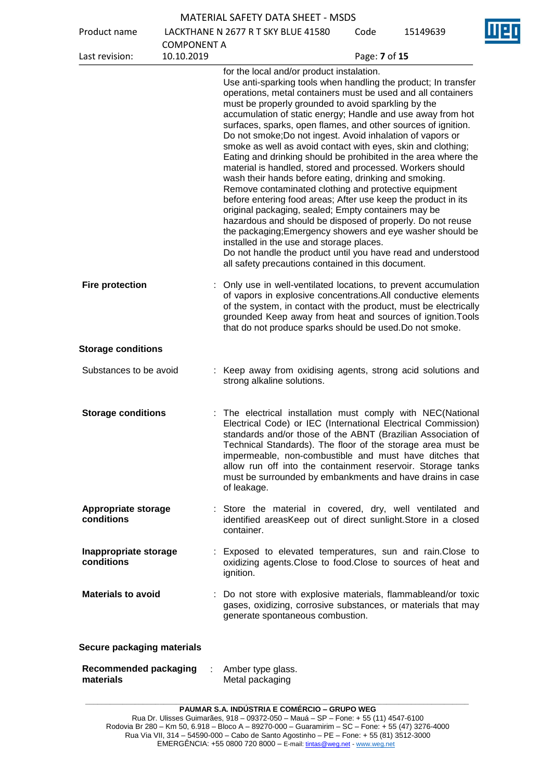| <b>MATERIAL SAFETY DATA SHEET - MSDS</b> |  |
|------------------------------------------|--|
|------------------------------------------|--|

| Product name                              |                    | LACKTHANE N 2677 R T SKY BLUE 41580                                                                                                                                                                                                                                                                                                                                                                                                                                                                                                                                                                                                                                                                                                                                                                                                                                                                                                                                                                                                                                                                                                                                    | Code          | 15149639 |
|-------------------------------------------|--------------------|------------------------------------------------------------------------------------------------------------------------------------------------------------------------------------------------------------------------------------------------------------------------------------------------------------------------------------------------------------------------------------------------------------------------------------------------------------------------------------------------------------------------------------------------------------------------------------------------------------------------------------------------------------------------------------------------------------------------------------------------------------------------------------------------------------------------------------------------------------------------------------------------------------------------------------------------------------------------------------------------------------------------------------------------------------------------------------------------------------------------------------------------------------------------|---------------|----------|
|                                           | <b>COMPONENT A</b> |                                                                                                                                                                                                                                                                                                                                                                                                                                                                                                                                                                                                                                                                                                                                                                                                                                                                                                                                                                                                                                                                                                                                                                        |               |          |
| Last revision:                            | 10.10.2019         |                                                                                                                                                                                                                                                                                                                                                                                                                                                                                                                                                                                                                                                                                                                                                                                                                                                                                                                                                                                                                                                                                                                                                                        | Page: 7 of 15 |          |
|                                           |                    | for the local and/or product instalation.<br>Use anti-sparking tools when handling the product; In transfer<br>operations, metal containers must be used and all containers<br>must be properly grounded to avoid sparkling by the<br>accumulation of static energy; Handle and use away from hot<br>surfaces, sparks, open flames, and other sources of ignition.<br>Do not smoke; Do not ingest. Avoid inhalation of vapors or<br>smoke as well as avoid contact with eyes, skin and clothing;<br>Eating and drinking should be prohibited in the area where the<br>material is handled, stored and processed. Workers should<br>wash their hands before eating, drinking and smoking.<br>Remove contaminated clothing and protective equipment<br>before entering food areas; After use keep the product in its<br>original packaging, sealed; Empty containers may be<br>hazardous and should be disposed of properly. Do not reuse<br>the packaging; Emergency showers and eye washer should be<br>installed in the use and storage places.<br>Do not handle the product until you have read and understood<br>all safety precautions contained in this document. |               |          |
| <b>Fire protection</b>                    |                    | Only use in well-ventilated locations, to prevent accumulation<br>of vapors in explosive concentrations. All conductive elements<br>of the system, in contact with the product, must be electrically<br>grounded Keep away from heat and sources of ignition. Tools<br>that do not produce sparks should be used. Do not smoke.                                                                                                                                                                                                                                                                                                                                                                                                                                                                                                                                                                                                                                                                                                                                                                                                                                        |               |          |
| <b>Storage conditions</b>                 |                    |                                                                                                                                                                                                                                                                                                                                                                                                                                                                                                                                                                                                                                                                                                                                                                                                                                                                                                                                                                                                                                                                                                                                                                        |               |          |
| Substances to be avoid                    |                    | : Keep away from oxidising agents, strong acid solutions and<br>strong alkaline solutions.                                                                                                                                                                                                                                                                                                                                                                                                                                                                                                                                                                                                                                                                                                                                                                                                                                                                                                                                                                                                                                                                             |               |          |
| <b>Storage conditions</b>                 |                    | The electrical installation must comply with NEC(National<br>Electrical Code) or IEC (International Electrical Commission)<br>standards and/or those of the ABNT (Brazilian Association of<br>Technical Standards). The floor of the storage area must be<br>impermeable, non-combustible and must have ditches that<br>allow run off into the containment reservoir. Storage tanks<br>must be surrounded by embankments and have drains in case<br>of leakage.                                                                                                                                                                                                                                                                                                                                                                                                                                                                                                                                                                                                                                                                                                        |               |          |
| <b>Appropriate storage</b><br>conditions  |                    | : Store the material in covered, dry, well ventilated and<br>identified areasKeep out of direct sunlight. Store in a closed<br>container.                                                                                                                                                                                                                                                                                                                                                                                                                                                                                                                                                                                                                                                                                                                                                                                                                                                                                                                                                                                                                              |               |          |
| Inappropriate storage<br>conditions       |                    | Exposed to elevated temperatures, sun and rain. Close to<br>oxidizing agents. Close to food. Close to sources of heat and<br>ignition.                                                                                                                                                                                                                                                                                                                                                                                                                                                                                                                                                                                                                                                                                                                                                                                                                                                                                                                                                                                                                                 |               |          |
| <b>Materials to avoid</b>                 |                    | : Do not store with explosive materials, flammableand/or toxic<br>gases, oxidizing, corrosive substances, or materials that may<br>generate spontaneous combustion.                                                                                                                                                                                                                                                                                                                                                                                                                                                                                                                                                                                                                                                                                                                                                                                                                                                                                                                                                                                                    |               |          |
| Secure packaging materials                |                    |                                                                                                                                                                                                                                                                                                                                                                                                                                                                                                                                                                                                                                                                                                                                                                                                                                                                                                                                                                                                                                                                                                                                                                        |               |          |
| <b>Recommended packaging</b><br>materials |                    | Amber type glass.<br>Metal packaging                                                                                                                                                                                                                                                                                                                                                                                                                                                                                                                                                                                                                                                                                                                                                                                                                                                                                                                                                                                                                                                                                                                                   |               |          |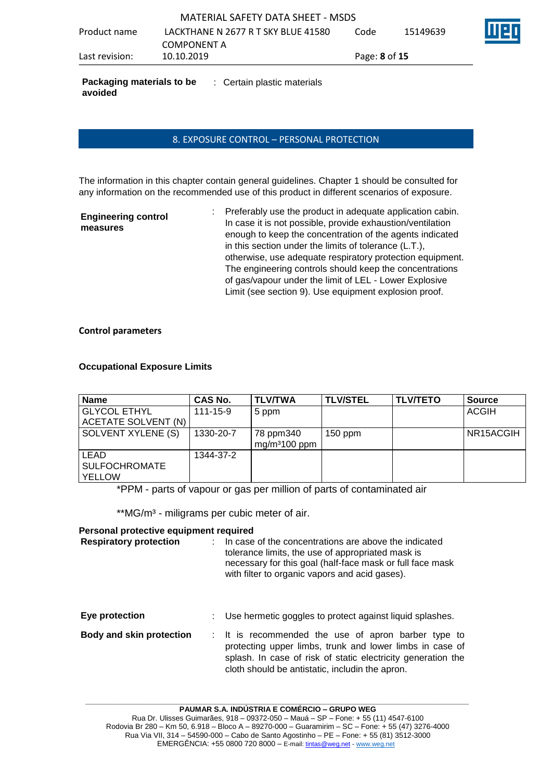**Packaging materials to be COD**: Certain plastic materials **avoided**

## 8. EXPOSURE CONTROL – PERSONAL PROTECTION

The information in this chapter contain general guidelines. Chapter 1 should be consulted for any information on the recommended use of this product in different scenarios of exposure.

| <b>Engineering control</b> |  |
|----------------------------|--|
| measures                   |  |

: Preferably use the product in adequate application cabin. In case it is not possible, provide exhaustion/ventilation enough to keep the concentration of the agents indicated in this section under the limits of tolerance (L.T.), otherwise, use adequate respiratory protection equipment. The engineering controls should keep the concentrations of gas/vapour under the limit of LEL - Lower Explosive Limit (see section 9). Use equipment explosion proof.

#### **Control parameters**

#### **Occupational Exposure Limits**

| <b>Name</b>                                   | <b>CAS No.</b> | TLV/TWA                                | <b>TLV/STEL</b> | <b>TLV/TETO</b> | <b>Source</b> |
|-----------------------------------------------|----------------|----------------------------------------|-----------------|-----------------|---------------|
| <b>GLYCOL ETHYL</b>                           | $111 - 15 - 9$ | 5 ppm                                  |                 |                 | <b>ACGIH</b>  |
| ACETATE SOLVENT (N)                           |                |                                        |                 |                 |               |
| SOLVENT XYLENE (S)                            | 1330-20-7      | 78 ppm340<br>mg/m <sup>3</sup> 100 ppm | $150$ ppm       |                 | NR15ACGIH     |
| LEAD<br><b>SULFOCHROMATE</b><br><b>YELLOW</b> | 1344-37-2      |                                        |                 |                 |               |

\*PPM - parts of vapour or gas per million of parts of contaminated air

\*\*MG/m<sup>3</sup> - miligrams per cubic meter of air.

#### **Personal protective equipment required**

| <b>Respiratory protection</b>   | In case of the concentrations are above the indicated<br>tolerance limits, the use of appropriated mask is<br>necessary for this goal (half-face mask or full face mask<br>with filter to organic vapors and acid gases). |
|---------------------------------|---------------------------------------------------------------------------------------------------------------------------------------------------------------------------------------------------------------------------|
| Eye protection                  | Use hermetic goggles to protect against liquid splashes.                                                                                                                                                                  |
| <b>Body and skin protection</b> | : It is recommended the use of apron barber type to<br>protecting upper limbs, trunk and lower limbs in case of<br>splash. In case of risk of static electricity generation the                                           |

**\_\_\_\_\_\_\_\_\_\_\_\_\_\_\_\_\_\_\_\_\_\_\_\_\_\_\_\_\_\_\_\_\_\_\_\_\_\_\_\_\_\_\_\_\_\_\_\_\_\_\_\_\_\_\_\_\_\_\_\_\_\_\_\_\_\_\_\_\_\_\_\_\_\_\_\_\_\_\_\_\_\_\_\_\_\_\_\_\_\_\_\_\_**

cloth should be antistatic, includin the apron.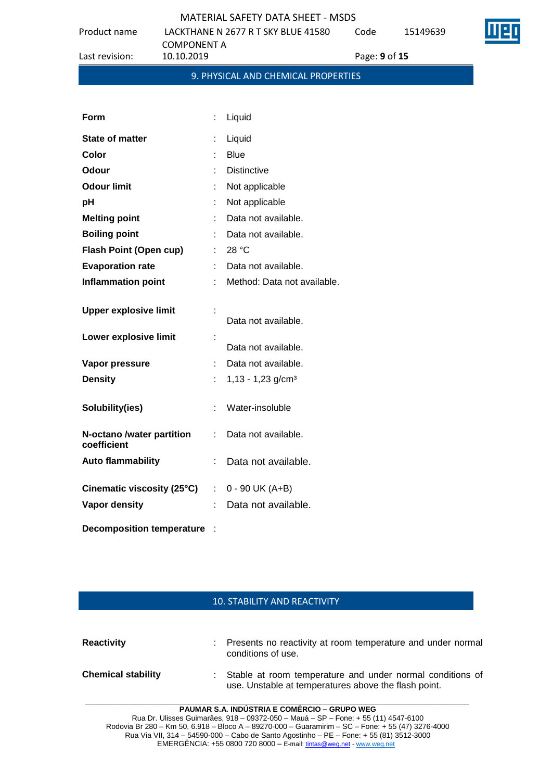Code 15149639



Product name LACKTHANE N 2677 R T SKY BLUE 41580 COMPONENT A<br>10.10.2019 Last revision: 10.10.2019 Page: **9** of **15**

| Form                                     | t. | Liquid                          |
|------------------------------------------|----|---------------------------------|
| <b>State of matter</b>                   |    | Liquid                          |
| Color                                    |    | <b>Blue</b>                     |
| <b>Odour</b>                             |    | <b>Distinctive</b>              |
| <b>Odour limit</b>                       |    | Not applicable                  |
| рH                                       |    | Not applicable                  |
| <b>Melting point</b>                     |    | Data not available.             |
| <b>Boiling point</b>                     |    | Data not available.             |
| <b>Flash Point (Open cup)</b>            |    | 28 °C                           |
| <b>Evaporation rate</b>                  | t. | Data not available.             |
| <b>Inflammation point</b>                | t. | Method: Data not available.     |
| <b>Upper explosive limit</b>             | t  | Data not available.             |
| Lower explosive limit                    |    | Data not available.             |
| Vapor pressure                           |    | Data not available.             |
| <b>Density</b>                           | t. | $1,13 - 1,23$ g/cm <sup>3</sup> |
| Solubility(ies)                          | t. | Water-insoluble                 |
| N-octano /water partition<br>coefficient | ÷. | Data not available.             |
| <b>Auto flammability</b>                 | t. | Data not available.             |
| Cinematic viscosity (25°C)               |    | $: 0 - 90$ UK (A+B)             |
| Vapor density                            |    | Data not available.             |
| <b>Decomposition temperature</b>         |    |                                 |

#### 10. STABILITY AND REACTIVITY

| <b>Reactivity</b>         | : Presents no reactivity at room temperature and under normal<br>conditions of use.                                 |
|---------------------------|---------------------------------------------------------------------------------------------------------------------|
| <b>Chemical stability</b> | : Stable at room temperature and under normal conditions of<br>use. Unstable at temperatures above the flash point. |

**PAUMAR S.A. INDÚSTRIA E COMÉRCIO – GRUPO WEG** Rua Dr. Ulisses Guimarães, 918 – 09372-050 – Mauá – SP – Fone: + 55 (11) 4547-6100 Rodovia Br 280 – Km 50, 6.918 – Bloco A – 89270-000 – Guaramirim – SC – Fone: + 55 (47) 3276-4000 Rua Via VII, 314 – 54590-000 – Cabo de Santo Agostinho – PE – Fone: + 55 (81) 3512-3000 EMERGËNCIA: +55 0800 720 8000 – E-mail[: tintas@weg.net](mailto:tintas@weg.net) - [www.weg.net](http://www.weg.net/)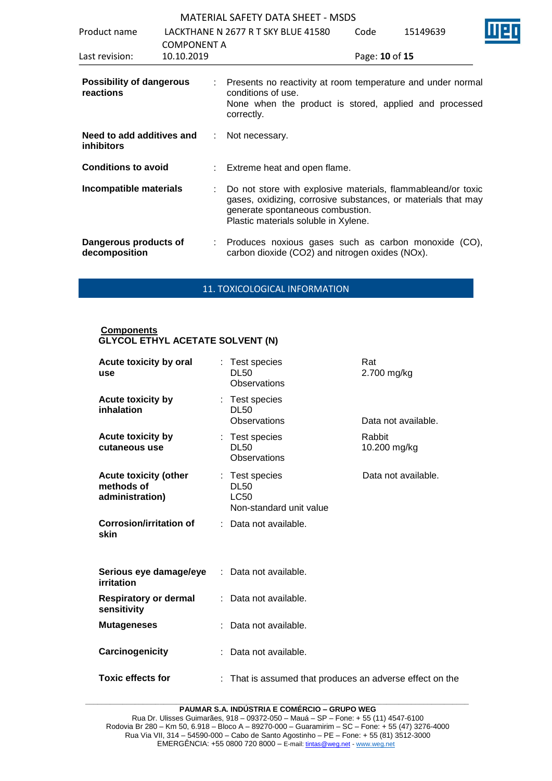| Product name                                   | <b>COMPONENT A</b> | LACKTHANE N 2677 R T SKY BLUE 41580                                                                                                                                                                       | Code           | 15149639 |  |
|------------------------------------------------|--------------------|-----------------------------------------------------------------------------------------------------------------------------------------------------------------------------------------------------------|----------------|----------|--|
| Last revision:                                 | 10.10.2019         |                                                                                                                                                                                                           | Page: 10 of 15 |          |  |
| <b>Possibility of dangerous</b><br>reactions   |                    | : Presents no reactivity at room temperature and under normal<br>conditions of use.<br>None when the product is stored, applied and processed<br>correctly.                                               |                |          |  |
| Need to add additives and<br><b>inhibitors</b> |                    | : Not necessary.                                                                                                                                                                                          |                |          |  |
| <b>Conditions to avoid</b>                     |                    | Extreme heat and open flame.                                                                                                                                                                              |                |          |  |
| Incompatible materials                         |                    | Do not store with explosive materials, flammableand/or toxic<br>gases, oxidizing, corrosive substances, or materials that may<br>generate spontaneous combustion.<br>Plastic materials soluble in Xylene. |                |          |  |
| Dangerous products of<br>decomposition         |                    | : Produces noxious gases such as carbon monoxide (CO),<br>carbon dioxide (CO2) and nitrogen oxides (NOx).                                                                                                 |                |          |  |

11. TOXICOLOGICAL INFORMATION

#### **Components GLYCOL ETHYL ACETATE SOLVENT (N)**

| Acute toxicity by oral<br>use                                 | : Test species<br><b>DL50</b><br>Observations                           | Rat<br>2.700 mg/kg     |
|---------------------------------------------------------------|-------------------------------------------------------------------------|------------------------|
| <b>Acute toxicity by</b><br>inhalation                        | : Test species<br><b>DL50</b><br>Observations                           | Data not available.    |
| <b>Acute toxicity by</b><br>cutaneous use                     | : Test species<br><b>DL50</b><br>Observations                           | Rabbit<br>10.200 mg/kg |
| <b>Acute toxicity (other</b><br>methods of<br>administration) | : Test species<br><b>DL50</b><br><b>LC50</b><br>Non-standard unit value | Data not available.    |
| <b>Corrosion/irritation of</b><br>skin                        | Data not available.                                                     |                        |
| Serious eye damage/eye<br>irritation                          | Data not available.                                                     |                        |
| <b>Respiratory or dermal</b><br>sensitivity                   | Data not available.                                                     |                        |
| <b>Mutageneses</b>                                            | Data not available.                                                     |                        |
| Carcinogenicity                                               | Data not available.                                                     |                        |
| <b>Toxic effects for</b>                                      | : That is assumed that produces an adverse effect on the                |                        |

**\_\_\_\_\_\_\_\_\_\_\_\_\_\_\_\_\_\_\_\_\_\_\_\_\_\_\_\_\_\_\_\_\_\_\_\_\_\_\_\_\_\_\_\_\_\_\_\_\_\_\_\_\_\_\_\_\_\_\_\_\_\_\_\_\_\_\_\_\_\_\_\_\_\_\_\_\_\_\_\_\_\_\_\_\_\_\_\_\_\_\_\_\_ PAUMAR S.A. INDÚSTRIA E COMÉRCIO – GRUPO WEG**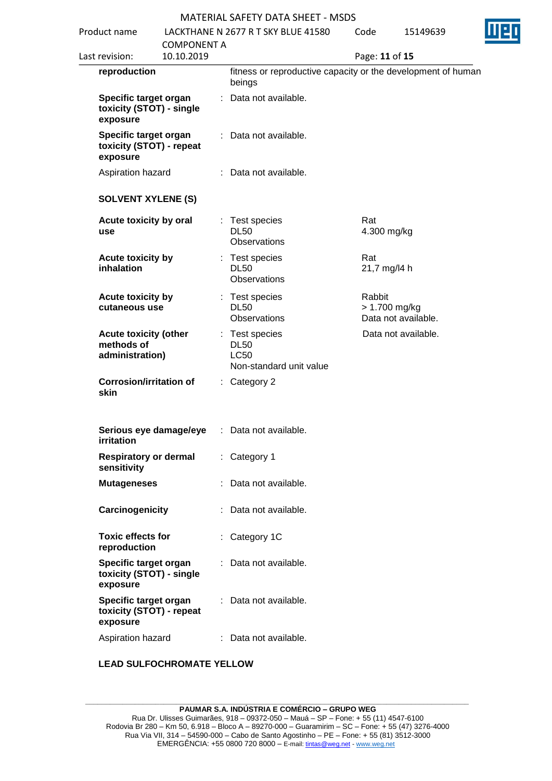| Product name |                                                               |                                  | LACKTHANE N 2677 R T SKY BLUE 41580                                     | Code                      | 15149639            |  |
|--------------|---------------------------------------------------------------|----------------------------------|-------------------------------------------------------------------------|---------------------------|---------------------|--|
|              | Last revision:                                                | <b>COMPONENT A</b><br>10.10.2019 |                                                                         | Page: 11 of 15            |                     |  |
|              | reproduction                                                  |                                  | fitness or reproductive capacity or the development of human<br>beings  |                           |                     |  |
|              | Specific target organ<br>toxicity (STOT) - single<br>exposure |                                  | : Data not available.                                                   |                           |                     |  |
|              | Specific target organ<br>toxicity (STOT) - repeat<br>exposure |                                  | : Data not available.                                                   |                           |                     |  |
|              | Aspiration hazard                                             |                                  | : Data not available.                                                   |                           |                     |  |
|              | <b>SOLVENT XYLENE (S)</b>                                     |                                  |                                                                         |                           |                     |  |
|              | Acute toxicity by oral<br>use                                 |                                  | : Test species<br><b>DL50</b><br>Observations                           | Rat<br>4.300 mg/kg        |                     |  |
|              | Acute toxicity by<br>inhalation                               |                                  | : Test species<br><b>DL50</b><br>Observations                           | Rat<br>21,7 mg/l4 h       |                     |  |
|              | Acute toxicity by<br>cutaneous use                            |                                  | : Test species<br><b>DL50</b><br>Observations                           | Rabbit<br>$> 1.700$ mg/kg | Data not available. |  |
|              | <b>Acute toxicity (other</b><br>methods of<br>administration) |                                  | : Test species<br><b>DL50</b><br><b>LC50</b><br>Non-standard unit value |                           | Data not available. |  |
|              | <b>Corrosion/irritation of</b><br>skin                        |                                  | $:$ Category 2                                                          |                           |                     |  |
|              | irritation                                                    |                                  | Serious eye damage/eye : Data not available.                            |                           |                     |  |
|              | <b>Respiratory or dermal</b><br>sensitivity                   |                                  | : Category 1                                                            |                           |                     |  |
|              | <b>Mutageneses</b>                                            |                                  | Data not available.                                                     |                           |                     |  |
|              | Carcinogenicity                                               |                                  | Data not available.                                                     |                           |                     |  |
|              | <b>Toxic effects for</b><br>reproduction                      |                                  | : Category 1C                                                           |                           |                     |  |
|              | Specific target organ<br>toxicity (STOT) - single<br>exposure |                                  | : Data not available.                                                   |                           |                     |  |
|              | Specific target organ<br>toxicity (STOT) - repeat<br>exposure |                                  | Data not available.                                                     |                           |                     |  |
|              | Aspiration hazard                                             |                                  | : Data not available.                                                   |                           |                     |  |

## **LEAD SULFOCHROMATE YELLOW**

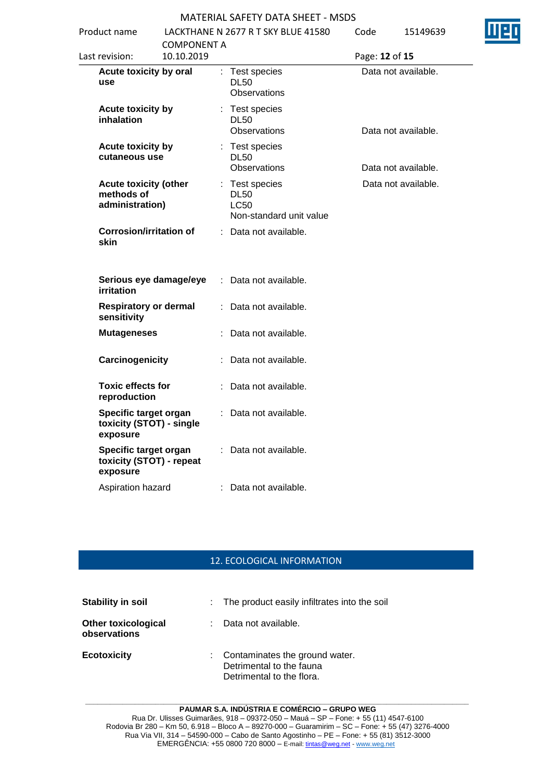| Product name   |                                                               |                                  |    | LACKTHANE N 2677 R T SKY BLUE 41580                              | Code           | 15149639            |  |
|----------------|---------------------------------------------------------------|----------------------------------|----|------------------------------------------------------------------|----------------|---------------------|--|
| Last revision: |                                                               | <b>COMPONENT A</b><br>10.10.2019 |    |                                                                  | Page: 12 of 15 |                     |  |
| use            | Acute toxicity by oral                                        |                                  |    | : Test species<br><b>DL50</b><br>Observations                    |                | Data not available. |  |
|                | Acute toxicity by<br>inhalation                               |                                  |    | : Test species<br><b>DL50</b><br>Observations                    |                | Data not available. |  |
|                | Acute toxicity by<br>cutaneous use                            |                                  |    | : Test species<br><b>DL50</b><br>Observations                    |                | Data not available. |  |
|                | <b>Acute toxicity (other</b><br>methods of<br>administration) |                                  |    | : Test species<br><b>DL50</b><br>LC50<br>Non-standard unit value |                | Data not available. |  |
| skin           | <b>Corrosion/irritation of</b>                                |                                  |    | : Data not available.                                            |                |                     |  |
|                | Serious eye damage/eye<br>irritation                          |                                  | ÷. | Data not available.                                              |                |                     |  |
|                | <b>Respiratory or dermal</b><br>sensitivity                   |                                  |    | Data not available.                                              |                |                     |  |
|                | <b>Mutageneses</b>                                            |                                  |    | Data not available.                                              |                |                     |  |
|                | Carcinogenicity                                               |                                  |    | Data not available.                                              |                |                     |  |
|                | <b>Toxic effects for</b><br>reproduction                      |                                  |    | Data not available.                                              |                |                     |  |
|                | Specific target organ<br>toxicity (STOT) - single<br>exposure |                                  |    | Data not available.                                              |                |                     |  |
|                | Specific target organ<br>toxicity (STOT) - repeat<br>exposure |                                  |    | Data not available.                                              |                |                     |  |
|                | Aspiration hazard                                             |                                  |    | Data not available.                                              |                |                     |  |

## 12. ECOLOGICAL INFORMATION

| <b>Stability in soil</b>                   |    | : The product easily infiltrates into the soil                                          |
|--------------------------------------------|----|-----------------------------------------------------------------------------------------|
| <b>Other toxicological</b><br>observations | t. | Data not available.                                                                     |
| <b>Ecotoxicity</b>                         |    | Contaminates the ground water.<br>Detrimental to the fauna<br>Detrimental to the flora. |

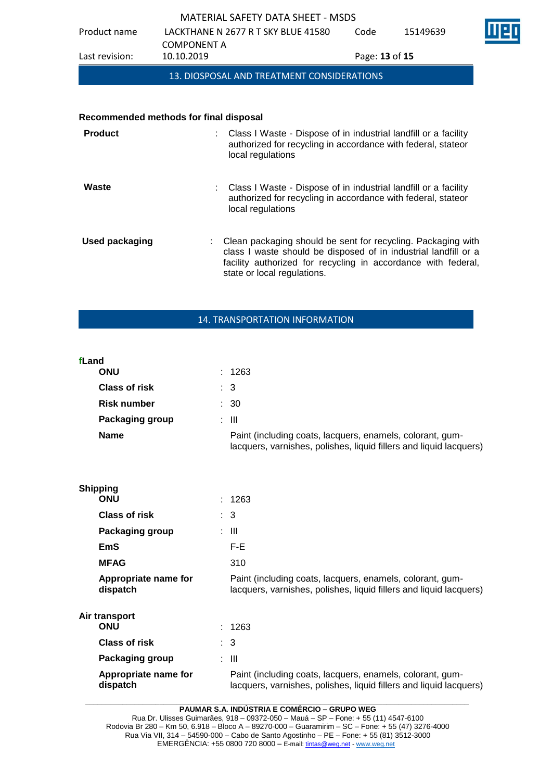Code 15149639



COMPONENT A<br>10.10.2019 Last revision: 10.10.2019 Page: **13** of **15**

13. DIOSPOSAL AND TREATMENT CONSIDERATIONS

#### **Recommended methods for final disposal**

Product name LACKTHANE N 2677 R T SKY BLUE 41580

| <b>Product</b> | : Class I Waste - Dispose of in industrial landfill or a facility<br>authorized for recycling in accordance with federal, stateor<br>local regulations                                                                          |
|----------------|---------------------------------------------------------------------------------------------------------------------------------------------------------------------------------------------------------------------------------|
| Waste          | : Class I Waste - Dispose of in industrial landfill or a facility<br>authorized for recycling in accordance with federal, stateor<br>local regulations                                                                          |
| Used packaging | Clean packaging should be sent for recycling. Packaging with<br>class I waste should be disposed of in industrial landfill or a<br>facility authorized for recycling in accordance with federal,<br>state or local regulations. |

## 14. TRANSPORTATION INFORMATION

#### **fLand**  $: 1263$

**Shipping**

| <b>Class of risk</b>   | : 3                                                                                                                             |
|------------------------|---------------------------------------------------------------------------------------------------------------------------------|
| Risk number            | : 30                                                                                                                            |
| <b>Packaging group</b> | : III                                                                                                                           |
| <b>Name</b>            | Paint (including coats, lacquers, enamels, colorant, gum-<br>lacquers, varnishes, polishes, liquid fillers and liquid lacquers) |

| Shipping |                                  |                                                                                                                                 |
|----------|----------------------------------|---------------------------------------------------------------------------------------------------------------------------------|
|          | <b>ONU</b>                       | : 1263                                                                                                                          |
|          | <b>Class of risk</b>             | $\therefore$ 3                                                                                                                  |
|          | Packaging group                  | : III                                                                                                                           |
|          | EmS                              | F-E                                                                                                                             |
|          | <b>MFAG</b>                      | 310                                                                                                                             |
|          | Appropriate name for<br>dispatch | Paint (including coats, lacquers, enamels, colorant, gum-<br>lacquers, varnishes, polishes, liquid fillers and liquid lacquers) |
|          | Air transport                    |                                                                                                                                 |
|          | <b>ONU</b>                       | : 1263                                                                                                                          |
|          | <b>Class of risk</b>             | $\therefore$ 3                                                                                                                  |
|          | Packaging group                  | : III                                                                                                                           |
|          | Appropriate name for<br>dispatch | Paint (including coats, lacquers, enamels, colorant, gum-<br>lacquers, varnishes, polishes, liquid fillers and liquid lacquers) |

**\_\_\_\_\_\_\_\_\_\_\_\_\_\_\_\_\_\_\_\_\_\_\_\_\_\_\_\_\_\_\_\_\_\_\_\_\_\_\_\_\_\_\_\_\_\_\_\_\_\_\_\_\_\_\_\_\_\_\_\_\_\_\_\_\_\_\_\_\_\_\_\_\_\_\_\_\_\_\_\_\_\_\_\_\_\_\_\_\_\_\_\_\_ PAUMAR S.A. INDÚSTRIA E COMÉRCIO – GRUPO WEG**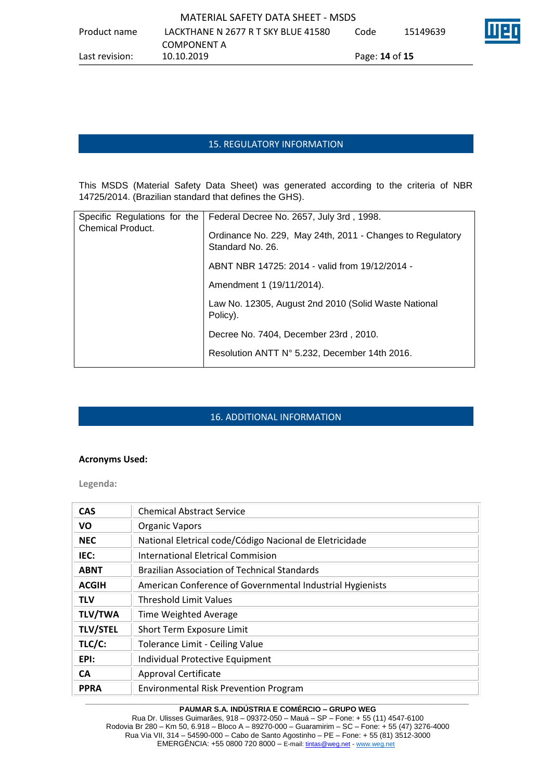## 15. REGULATORY INFORMATION

This MSDS (Material Safety Data Sheet) was generated according to the criteria of NBR 14725/2014. (Brazilian standard that defines the GHS).

| Specific Regulations for the | Federal Decree No. 2657, July 3rd, 1998.                                      |
|------------------------------|-------------------------------------------------------------------------------|
| <b>Chemical Product.</b>     | Ordinance No. 229, May 24th, 2011 - Changes to Regulatory<br>Standard No. 26. |
|                              | ABNT NBR 14725: 2014 - valid from 19/12/2014 -                                |
|                              | Amendment 1 (19/11/2014).                                                     |
|                              | Law No. 12305, August 2nd 2010 (Solid Waste National<br>Policy).              |
|                              | Decree No. 7404, December 23rd, 2010.                                         |
|                              | Resolution ANTT N° 5.232, December 14th 2016.                                 |
|                              |                                                                               |

## 16. ADDITIONAL INFORMATION

### **Acronyms Used:**

**Legenda:**

| <b>CAS</b>      | <b>Chemical Abstract Service</b>                          |
|-----------------|-----------------------------------------------------------|
| VO              | <b>Organic Vapors</b>                                     |
| <b>NEC</b>      | National Eletrical code/Código Nacional de Eletricidade   |
| IEC:            | <b>International Eletrical Commision</b>                  |
| <b>ABNT</b>     | <b>Brazilian Association of Technical Standards</b>       |
| <b>ACGIH</b>    | American Conference of Governmental Industrial Hygienists |
| TLV             | <b>Threshold Limit Values</b>                             |
| <b>TLV/TWA</b>  | Time Weighted Average                                     |
| <b>TLV/STEL</b> | Short Term Exposure Limit                                 |
| TLC/C:          | <b>Tolerance Limit - Ceiling Value</b>                    |
| EPI:            | Individual Protective Equipment                           |
| <b>CA</b>       | <b>Approval Certificate</b>                               |
| <b>PPRA</b>     | <b>Environmental Risk Prevention Program</b>              |

#### **\_\_\_\_\_\_\_\_\_\_\_\_\_\_\_\_\_\_\_\_\_\_\_\_\_\_\_\_\_\_\_\_\_\_\_\_\_\_\_\_\_\_\_\_\_\_\_\_\_\_\_\_\_\_\_\_\_\_\_\_\_\_\_\_\_\_\_\_\_\_\_\_\_\_\_\_\_\_\_\_\_\_\_\_\_\_\_\_\_\_\_\_\_ PAUMAR S.A. INDÚSTRIA E COMÉRCIO – GRUPO WEG**

Rua Dr. Ulisses Guimarães, 918 – 09372-050 – Mauá – SP – Fone: + 55 (11) 4547-6100 Rodovia Br 280 – Km 50, 6.918 – Bloco A – 89270-000 – Guaramirim – SC – Fone: + 55 (47) 3276-4000 Rua Via VII, 314 – 54590-000 – Cabo de Santo Agostinho – PE – Fone: + 55 (81) 3512-3000 EMERGÊNCIA: +55 0800 720 8000 – E-mail[: tintas@weg.net](mailto:tintas@weg.net) - [www.weg.net](http://www.weg.net/)